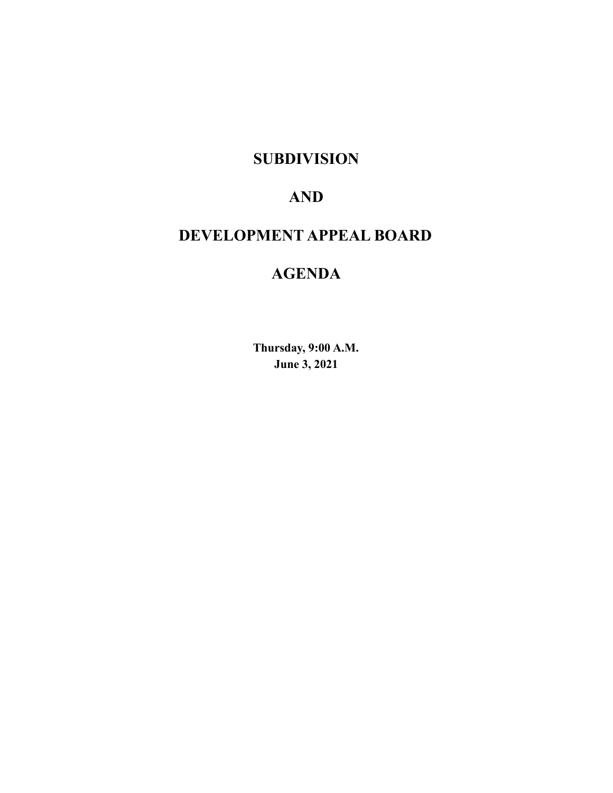# **SUBDIVISION**

# **AND**

# **DEVELOPMENT APPEAL BOARD**

# **AGENDA**

**Thursday, 9:00 A.M. June 3, 2021**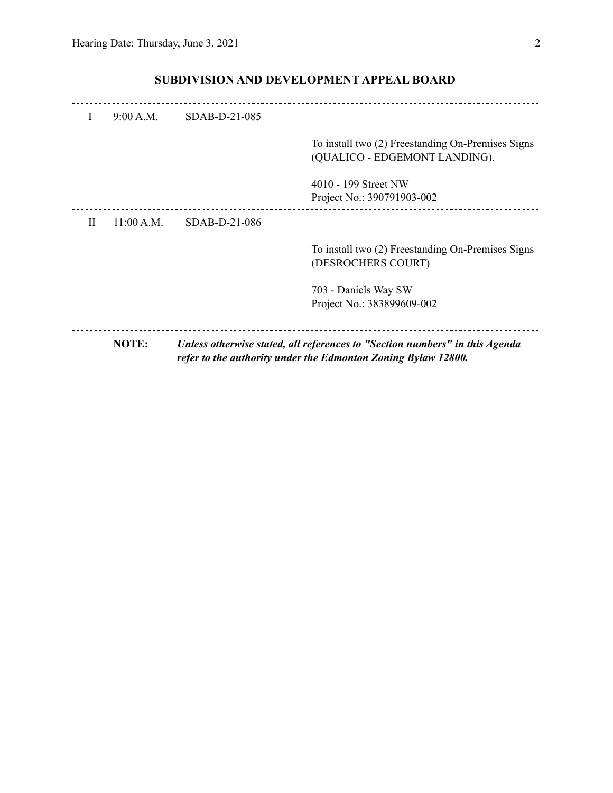|   | NOTE:      |               | Unless otherwise stated, all references to "Section numbers" in this Agenda<br>refer to the authority under the Edmonton Zoning Bylaw 12800. |
|---|------------|---------------|----------------------------------------------------------------------------------------------------------------------------------------------|
|   |            |               | 703 - Daniels Way SW<br>Project No.: 383899609-002                                                                                           |
|   |            |               | To install two (2) Freestanding On-Premises Signs<br>(DESROCHERS COURT)                                                                      |
| Н | 11:00 A.M. | SDAB-D-21-086 |                                                                                                                                              |
|   |            |               | 4010 - 199 Street NW<br>Project No.: 390791903-002                                                                                           |
|   |            |               | To install two (2) Freestanding On-Premises Signs<br>(QUALICO - EDGEMONT LANDING).                                                           |
| T | 9:00 A.M.  | SDAB-D-21-085 |                                                                                                                                              |
|   |            |               |                                                                                                                                              |

# **SUBDIVISION AND DEVELOPMENT APPEAL BOARD**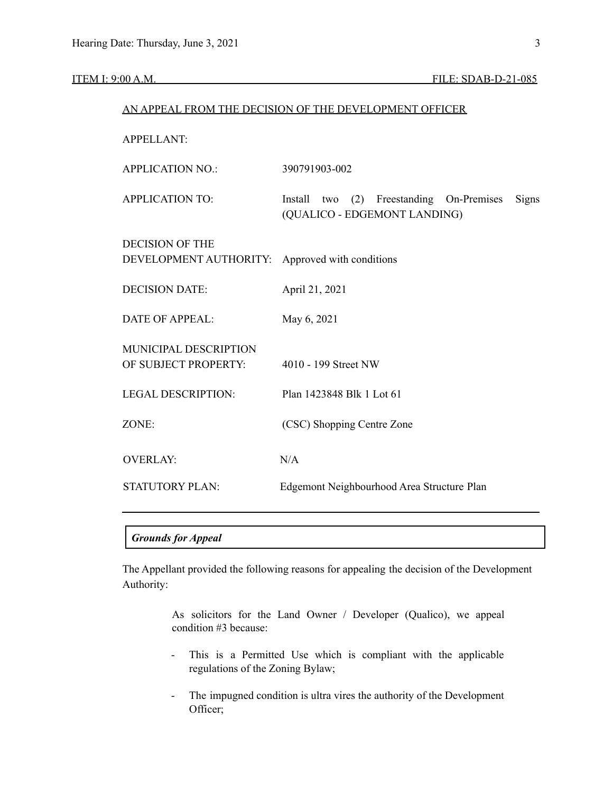|                                                  | AN APPEAL FROM THE DECISION OF THE DEVELOPMENT OFFICER                            |  |  |  |  |
|--------------------------------------------------|-----------------------------------------------------------------------------------|--|--|--|--|
| <b>APPELLANT:</b>                                |                                                                                   |  |  |  |  |
| <b>APPLICATION NO.:</b>                          | 390791903-002                                                                     |  |  |  |  |
| <b>APPLICATION TO:</b>                           | Install two (2) Freestanding On-Premises<br>Signs<br>(QUALICO - EDGEMONT LANDING) |  |  |  |  |
| <b>DECISION OF THE</b><br>DEVELOPMENT AUTHORITY: | Approved with conditions                                                          |  |  |  |  |
| <b>DECISION DATE:</b>                            | April 21, 2021                                                                    |  |  |  |  |
| <b>DATE OF APPEAL:</b>                           | May 6, 2021                                                                       |  |  |  |  |
| MUNICIPAL DESCRIPTION<br>OF SUBJECT PROPERTY:    | 4010 - 199 Street NW                                                              |  |  |  |  |
| <b>LEGAL DESCRIPTION:</b>                        | Plan 1423848 Blk 1 Lot 61                                                         |  |  |  |  |
| ZONE:                                            | (CSC) Shopping Centre Zone                                                        |  |  |  |  |
| <b>OVERLAY:</b>                                  | N/A                                                                               |  |  |  |  |
| <b>STATUTORY PLAN:</b>                           | Edgemont Neighbourhood Area Structure Plan                                        |  |  |  |  |

# *Grounds for Appeal*

The Appellant provided the following reasons for appealing the decision of the Development Authority:

> As solicitors for the Land Owner / Developer (Qualico), we appeal condition #3 because:

- This is a Permitted Use which is compliant with the applicable regulations of the Zoning Bylaw;
- The impugned condition is ultra vires the authority of the Development Officer;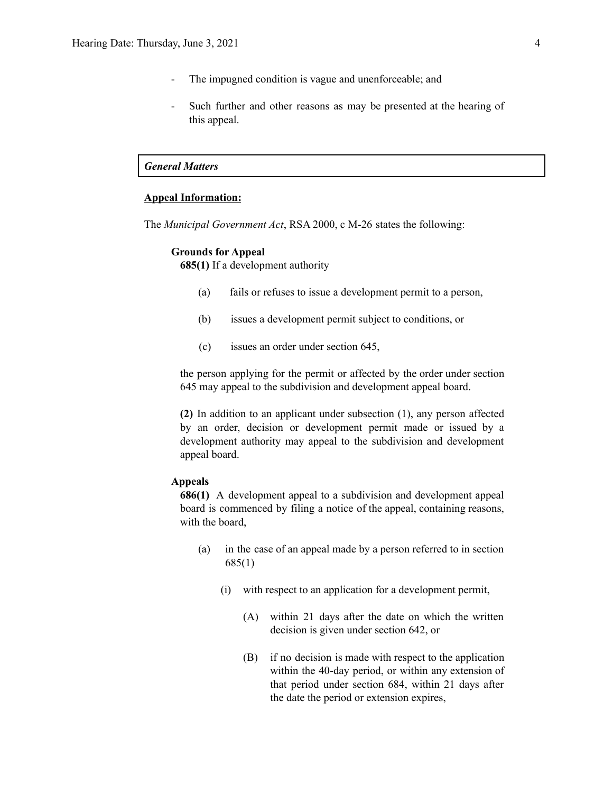- The impugned condition is vague and unenforceable; and
- Such further and other reasons as may be presented at the hearing of this appeal.

# *General Matters*

# **Appeal Information:**

The *Municipal Government Act*, RSA 2000, c M-26 states the following:

#### **Grounds for Appeal**

**685(1)** If a development authority

- (a) fails or refuses to issue a development permit to a person,
- (b) issues a development permit subject to conditions, or
- (c) issues an order under section 645,

the person applying for the permit or affected by the order under section 645 may appeal to the subdivision and development appeal board.

**(2)** In addition to an applicant under subsection (1), any person affected by an order, decision or development permit made or issued by a development authority may appeal to the subdivision and development appeal board.

#### **Appeals**

**686(1)** A development appeal to a subdivision and development appeal board is commenced by filing a notice of the appeal, containing reasons, with the board,

- (a) in the case of an appeal made by a person referred to in section 685(1)
	- (i) with respect to an application for a development permit,
		- (A) within 21 days after the date on which the written decision is given under section 642, or
		- (B) if no decision is made with respect to the application within the 40-day period, or within any extension of that period under section 684, within 21 days after the date the period or extension expires,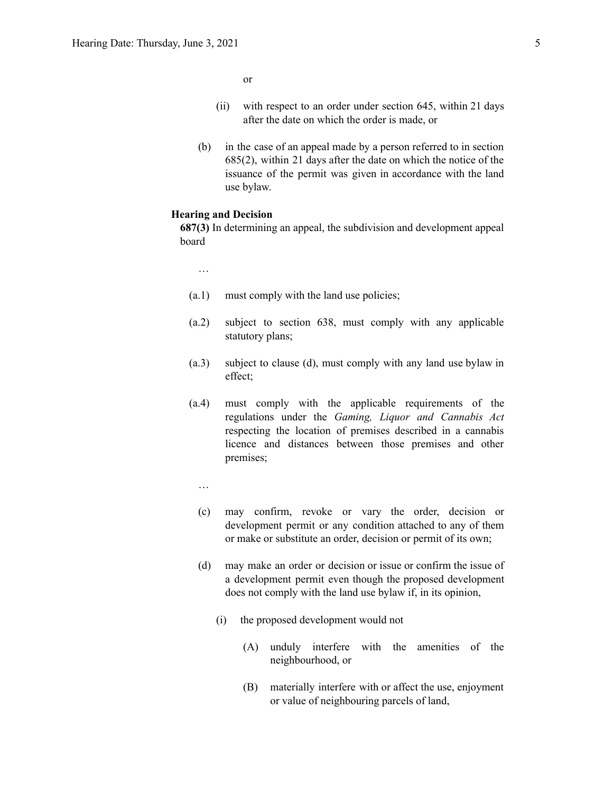or

- (ii) with respect to an order under section 645, within 21 days after the date on which the order is made, or
- (b) in the case of an appeal made by a person referred to in section 685(2), within 21 days after the date on which the notice of the issuance of the permit was given in accordance with the land use bylaw.

## **Hearing and Decision**

**687(3)** In determining an appeal, the subdivision and development appeal board

…

- (a.1) must comply with the land use policies;
- (a.2) subject to section 638, must comply with any applicable statutory plans;
- (a.3) subject to clause (d), must comply with any land use bylaw in effect;
- (a.4) must comply with the applicable requirements of the regulations under the *Gaming, Liquor and Cannabis Act* respecting the location of premises described in a cannabis licence and distances between those premises and other premises;
	- …
	- (c) may confirm, revoke or vary the order, decision or development permit or any condition attached to any of them or make or substitute an order, decision or permit of its own;
	- (d) may make an order or decision or issue or confirm the issue of a development permit even though the proposed development does not comply with the land use bylaw if, in its opinion,
		- (i) the proposed development would not
			- (A) unduly interfere with the amenities of the neighbourhood, or
			- (B) materially interfere with or affect the use, enjoyment or value of neighbouring parcels of land,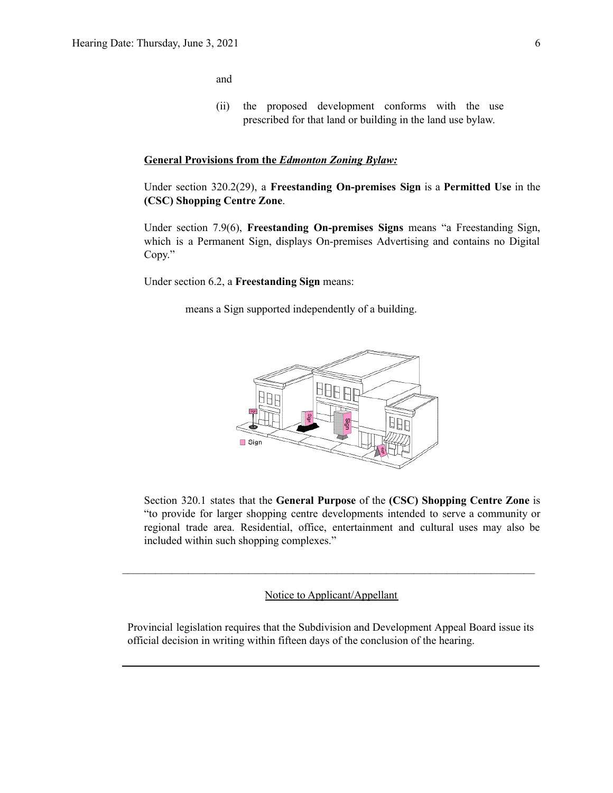and

(ii) the proposed development conforms with the use prescribed for that land or building in the land use bylaw.

# **General Provisions from the** *Edmonton Zoning Bylaw:*

Under section 320.2(29), a **Freestanding On-premises Sign** is a **Permitted Use** in the **(CSC) Shopping Centre Zone**.

Under section 7.9(6), **Freestanding On-premises Signs** means "a Freestanding Sign, which is a Permanent Sign, displays On-premises Advertising and contains no Digital Copy."

Under section 6.2, a **Freestanding Sign** means:

means a Sign supported independently of a building.



Section 320.1 states that the **General Purpose** of the **(CSC) Shopping Centre Zone** is "to provide for larger shopping centre developments intended to serve a community or regional trade area. Residential, office, entertainment and cultural uses may also be included within such shopping complexes."

Notice to Applicant/Appellant

 $\mathcal{L}_\text{max} = \frac{1}{2} \sum_{i=1}^n \mathcal{L}_\text{max} = \frac{1}{2} \sum_{i=1}^n \mathcal{L}_\text{max} = \frac{1}{2} \sum_{i=1}^n \mathcal{L}_\text{max} = \frac{1}{2} \sum_{i=1}^n \mathcal{L}_\text{max} = \frac{1}{2} \sum_{i=1}^n \mathcal{L}_\text{max} = \frac{1}{2} \sum_{i=1}^n \mathcal{L}_\text{max} = \frac{1}{2} \sum_{i=1}^n \mathcal{L}_\text{max} = \frac{1}{2} \sum_{i=$ 

Provincial legislation requires that the Subdivision and Development Appeal Board issue its official decision in writing within fifteen days of the conclusion of the hearing.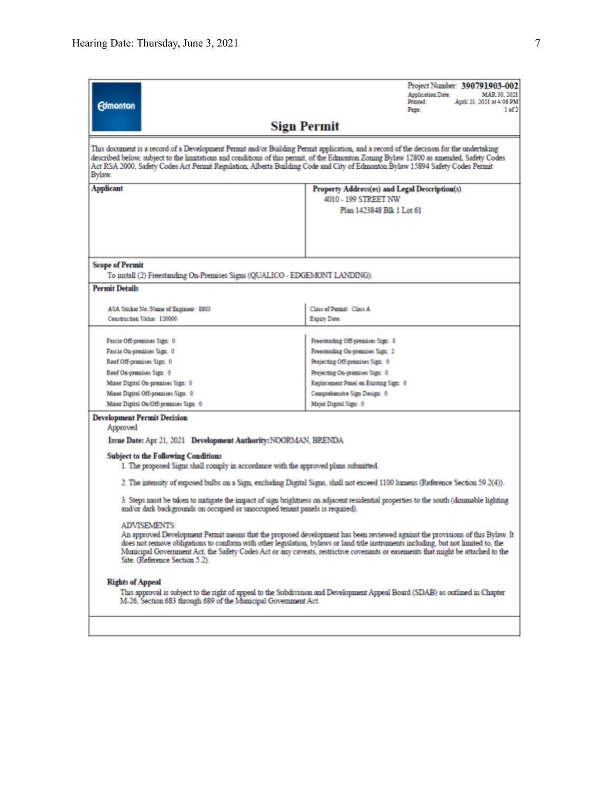| <b>Edmonton</b>                                                                                                                                                                                                                                                                                                                                                                                                                                                 | Project Number: 390791903-002<br>Application Date:<br>MAR 30, 2021<br>April 21, 2021 at 4:08 PM<br>Printed:<br>Page:<br>1 of 2 |  |  |  |  |  |
|-----------------------------------------------------------------------------------------------------------------------------------------------------------------------------------------------------------------------------------------------------------------------------------------------------------------------------------------------------------------------------------------------------------------------------------------------------------------|--------------------------------------------------------------------------------------------------------------------------------|--|--|--|--|--|
| <b>Sign Permit</b>                                                                                                                                                                                                                                                                                                                                                                                                                                              |                                                                                                                                |  |  |  |  |  |
| This document is a record of a Development Permit and/or Building Permit application, and a record of the decision for the undertaking<br>described below, subject to the limitations and conditions of this permit, of the Edmonton Zoning Bylaw 12800 as amended, Safety Codes<br>Act RSA 2000, Safety Codes Act Permit Regulation, Alberta Building Code and City of Edmonton Bylaw 15894 Safety Codes Permit<br>Bylaw.                                      |                                                                                                                                |  |  |  |  |  |
| <b>Applicant</b>                                                                                                                                                                                                                                                                                                                                                                                                                                                | Property Address(es) and Legal Description(s)<br>4010 - 199 STREET NW<br>Plan 1423848 Blk 1 Lot 61                             |  |  |  |  |  |
|                                                                                                                                                                                                                                                                                                                                                                                                                                                                 |                                                                                                                                |  |  |  |  |  |
| <b>Scope of Permit</b><br><b>Permit Details</b>                                                                                                                                                                                                                                                                                                                                                                                                                 | To install (2) Freestanding On-Premises Signs (QUALICO - EDGEMONT LANDING).                                                    |  |  |  |  |  |
|                                                                                                                                                                                                                                                                                                                                                                                                                                                                 |                                                                                                                                |  |  |  |  |  |
| ASA Sticker No./Name of Engineer: \$303<br>Construction Value: 120000                                                                                                                                                                                                                                                                                                                                                                                           | Class of Permit: Class A<br>Expiry Date:                                                                                       |  |  |  |  |  |
| Fascia Off-premises Sign: 0                                                                                                                                                                                                                                                                                                                                                                                                                                     | Freestanding Off-premises Sign: 0                                                                                              |  |  |  |  |  |
| Fascia On-premises Sign: 0                                                                                                                                                                                                                                                                                                                                                                                                                                      | Freestanding On-premises Sign: 2                                                                                               |  |  |  |  |  |
| Roof Off-premises Sign: 0                                                                                                                                                                                                                                                                                                                                                                                                                                       | Projecting Off-premises Sign: 0                                                                                                |  |  |  |  |  |
| Roof On-premises Sign: 0                                                                                                                                                                                                                                                                                                                                                                                                                                        | Projecting On-premises Sign: 0                                                                                                 |  |  |  |  |  |
| Minor Digital On-premises Sign: 0                                                                                                                                                                                                                                                                                                                                                                                                                               | Replacement Panel on Existing Sign: 0                                                                                          |  |  |  |  |  |
| Minor Digital Off-premises Sign: 0                                                                                                                                                                                                                                                                                                                                                                                                                              | Comprehensive Sign Design: 0                                                                                                   |  |  |  |  |  |
| Minor Digital On/Off-premises Sign: 0                                                                                                                                                                                                                                                                                                                                                                                                                           | Major Digital Sign: 0                                                                                                          |  |  |  |  |  |
| <b>Development Permit Decision</b><br>Approved                                                                                                                                                                                                                                                                                                                                                                                                                  |                                                                                                                                |  |  |  |  |  |
| Issue Date: Apr 21, 2021 Development Authority: NOORMAN, BRENDA                                                                                                                                                                                                                                                                                                                                                                                                 |                                                                                                                                |  |  |  |  |  |
| <b>Subject to the Following Conditions</b><br>1. The proposed Signs shall comply in accordance with the approved plans submitted.                                                                                                                                                                                                                                                                                                                               |                                                                                                                                |  |  |  |  |  |
| 2. The intensity of exposed bulbs on a Sign, excluding Digital Signs, shall not exceed 1100 lumens (Reference Section 59.2(4)).                                                                                                                                                                                                                                                                                                                                 |                                                                                                                                |  |  |  |  |  |
| 3. Steps must be taken to mitigate the impact of sign brightness on adjacent residential properties to the south (dimmable lighting<br>and/or dark backgrounds on occupied or unoccupied tenant panels is required).                                                                                                                                                                                                                                            |                                                                                                                                |  |  |  |  |  |
| <b>ADVISEMENTS:</b><br>An approved Development Permit means that the proposed development has been reviewed against the provisions of this Bylaw. It<br>does not remove obligations to conform with other legislation, bylaws or land title instruments including, but not limited to, the<br>Municipal Government Act, the Safety Codes Act or any caveats, restrictive covenants or easements that might be attached to the<br>Site. (Reference Section 5.2). |                                                                                                                                |  |  |  |  |  |
| <b>Rights of Appeal</b><br>This approval is subject to the right of appeal to the Subdivision and Development Appeal Board (SDAB) as outlined in Chapter<br>M-26, Section 683 through 689 of the Municipal Government Act.                                                                                                                                                                                                                                      |                                                                                                                                |  |  |  |  |  |
|                                                                                                                                                                                                                                                                                                                                                                                                                                                                 |                                                                                                                                |  |  |  |  |  |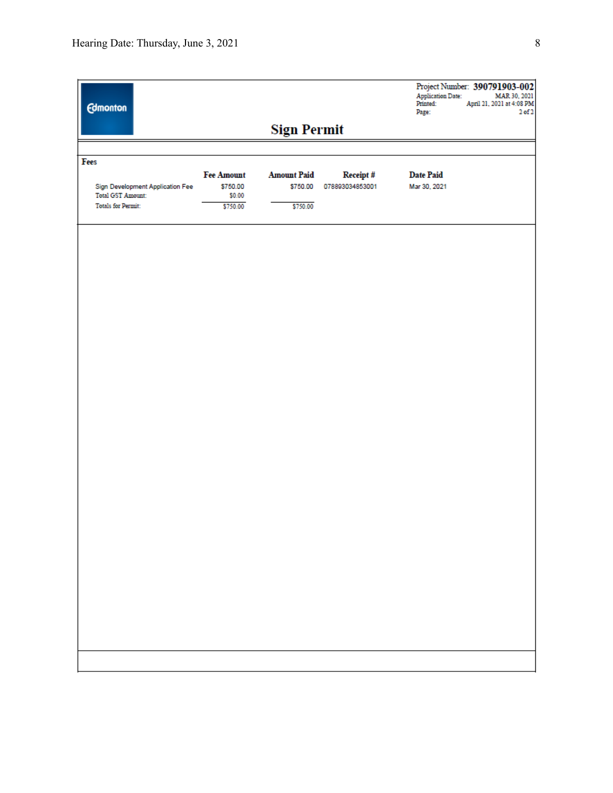| <b>Edmonton</b>                                       |                               |                                |                             | Application Date:<br>Printed:<br>Page: | Project Number: 390791903-002<br>MAR 30, 2021<br>April 21, 2021 at 4:08 PM<br>$2$ of $2$ |  |  |
|-------------------------------------------------------|-------------------------------|--------------------------------|-----------------------------|----------------------------------------|------------------------------------------------------------------------------------------|--|--|
|                                                       |                               | <b>Sign Permit</b>             |                             |                                        |                                                                                          |  |  |
|                                                       |                               |                                |                             |                                        |                                                                                          |  |  |
| Fees                                                  |                               |                                |                             |                                        |                                                                                          |  |  |
| Sign Development Application Fee                      | <b>Fee Amount</b><br>\$750.00 | <b>Amount Paid</b><br>\$750.00 | Receipt#<br>078893034853001 | <b>Date Paid</b><br>Mar 30, 2021       |                                                                                          |  |  |
| <b>Total GST Amount:</b><br><b>Totals for Permit:</b> | \$0.00<br>\$750.00            | \$750.00                       |                             |                                        |                                                                                          |  |  |
|                                                       |                               |                                |                             |                                        |                                                                                          |  |  |
|                                                       |                               |                                |                             |                                        |                                                                                          |  |  |
|                                                       |                               |                                |                             |                                        |                                                                                          |  |  |
|                                                       |                               |                                |                             |                                        |                                                                                          |  |  |
|                                                       |                               |                                |                             |                                        |                                                                                          |  |  |
|                                                       |                               |                                |                             |                                        |                                                                                          |  |  |
|                                                       |                               |                                |                             |                                        |                                                                                          |  |  |
|                                                       |                               |                                |                             |                                        |                                                                                          |  |  |
|                                                       |                               |                                |                             |                                        |                                                                                          |  |  |
|                                                       |                               |                                |                             |                                        |                                                                                          |  |  |
|                                                       |                               |                                |                             |                                        |                                                                                          |  |  |
|                                                       |                               |                                |                             |                                        |                                                                                          |  |  |
|                                                       |                               |                                |                             |                                        |                                                                                          |  |  |
|                                                       |                               |                                |                             |                                        |                                                                                          |  |  |
|                                                       |                               |                                |                             |                                        |                                                                                          |  |  |
|                                                       |                               |                                |                             |                                        |                                                                                          |  |  |
|                                                       |                               |                                |                             |                                        |                                                                                          |  |  |
|                                                       |                               |                                |                             |                                        |                                                                                          |  |  |
|                                                       |                               |                                |                             |                                        |                                                                                          |  |  |
|                                                       |                               |                                |                             |                                        |                                                                                          |  |  |
|                                                       |                               |                                |                             |                                        |                                                                                          |  |  |
|                                                       |                               |                                |                             |                                        |                                                                                          |  |  |
|                                                       |                               |                                |                             |                                        |                                                                                          |  |  |
|                                                       |                               |                                |                             |                                        |                                                                                          |  |  |
|                                                       |                               |                                |                             |                                        |                                                                                          |  |  |
|                                                       |                               |                                |                             |                                        |                                                                                          |  |  |
|                                                       |                               |                                |                             |                                        |                                                                                          |  |  |
|                                                       |                               |                                |                             |                                        |                                                                                          |  |  |
|                                                       |                               |                                |                             |                                        |                                                                                          |  |  |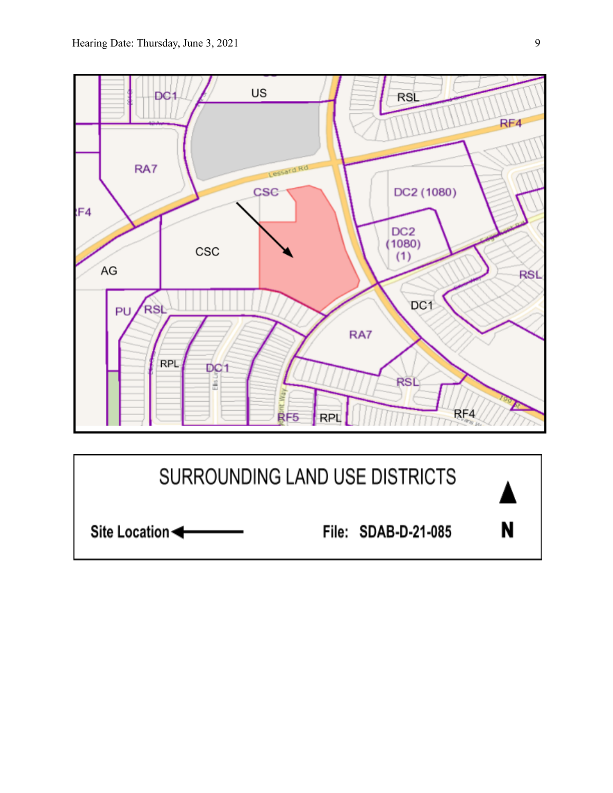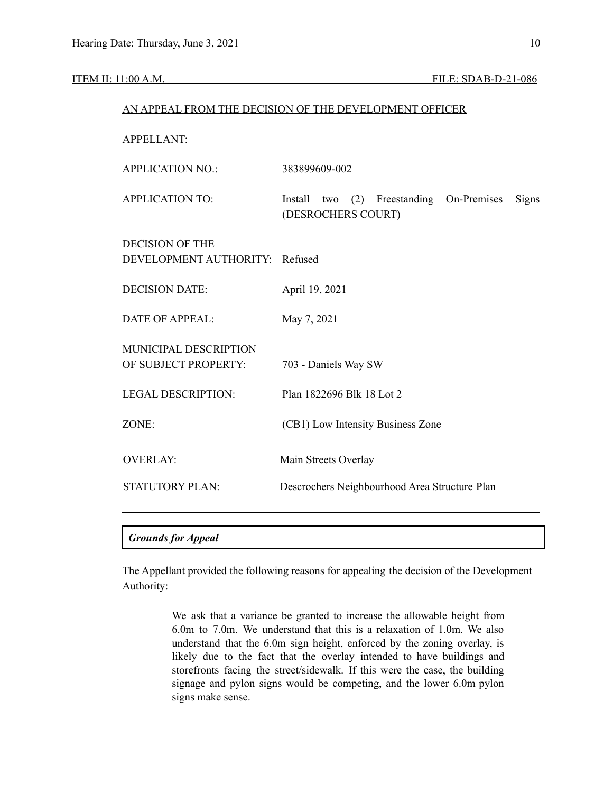| AN APPEAL FROM THE DECISION OF THE DEVELOPMENT OFFICER   |                                                                                     |  |  |  |  |
|----------------------------------------------------------|-------------------------------------------------------------------------------------|--|--|--|--|
| <b>APPELLANT:</b>                                        |                                                                                     |  |  |  |  |
| <b>APPLICATION NO.:</b>                                  | 383899609-002                                                                       |  |  |  |  |
| <b>APPLICATION TO:</b>                                   | On-Premises<br>Install<br>Freestanding<br>Signs<br>(2)<br>two<br>(DESROCHERS COURT) |  |  |  |  |
| <b>DECISION OF THE</b><br>DEVELOPMENT AUTHORITY: Refused |                                                                                     |  |  |  |  |
| <b>DECISION DATE:</b>                                    | April 19, 2021                                                                      |  |  |  |  |
| <b>DATE OF APPEAL:</b>                                   | May 7, 2021                                                                         |  |  |  |  |
| MUNICIPAL DESCRIPTION<br>OF SUBJECT PROPERTY:            | 703 - Daniels Way SW                                                                |  |  |  |  |
| <b>LEGAL DESCRIPTION:</b>                                | Plan 1822696 Blk 18 Lot 2                                                           |  |  |  |  |
| ZONE:                                                    | (CB1) Low Intensity Business Zone                                                   |  |  |  |  |
| <b>OVERLAY:</b>                                          | Main Streets Overlay                                                                |  |  |  |  |
| <b>STATUTORY PLAN:</b>                                   | Descrochers Neighbourhood Area Structure Plan                                       |  |  |  |  |
|                                                          |                                                                                     |  |  |  |  |

# *Grounds for Appeal*

The Appellant provided the following reasons for appealing the decision of the Development Authority:

> We ask that a variance be granted to increase the allowable height from 6.0m to 7.0m. We understand that this is a relaxation of 1.0m. We also understand that the 6.0m sign height, enforced by the zoning overlay, is likely due to the fact that the overlay intended to have buildings and storefronts facing the street/sidewalk. If this were the case, the building signage and pylon signs would be competing, and the lower 6.0m pylon signs make sense.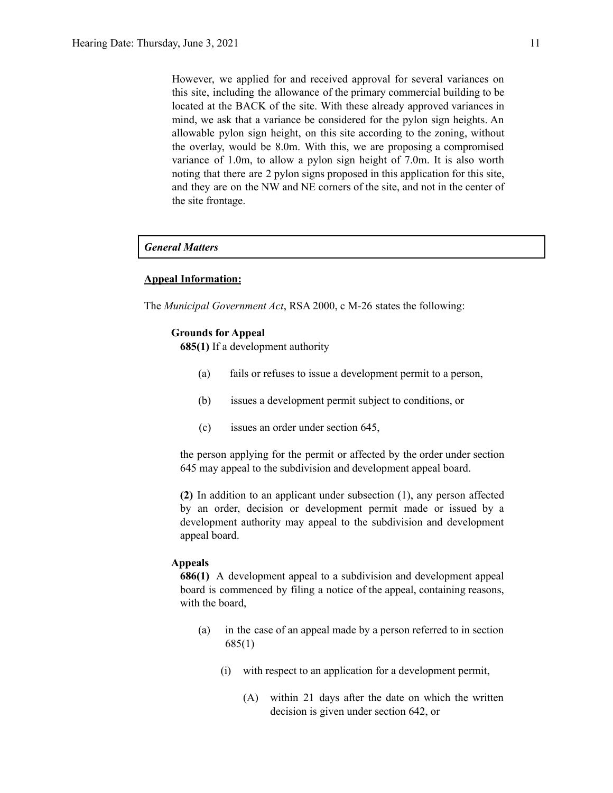However, we applied for and received approval for several variances on this site, including the allowance of the primary commercial building to be located at the BACK of the site. With these already approved variances in mind, we ask that a variance be considered for the pylon sign heights. An allowable pylon sign height, on this site according to the zoning, without the overlay, would be 8.0m. With this, we are proposing a compromised variance of 1.0m, to allow a pylon sign height of 7.0m. It is also worth noting that there are 2 pylon signs proposed in this application for this site, and they are on the NW and NE corners of the site, and not in the center of the site frontage.

# *General Matters*

## **Appeal Information:**

The *Municipal Government Act*, RSA 2000, c M-26 states the following:

#### **Grounds for Appeal**

**685(1)** If a development authority

- (a) fails or refuses to issue a development permit to a person,
- (b) issues a development permit subject to conditions, or
- (c) issues an order under section 645,

the person applying for the permit or affected by the order under section 645 may appeal to the subdivision and development appeal board.

**(2)** In addition to an applicant under subsection (1), any person affected by an order, decision or development permit made or issued by a development authority may appeal to the subdivision and development appeal board.

#### **Appeals**

**686(1)** A development appeal to a subdivision and development appeal board is commenced by filing a notice of the appeal, containing reasons, with the board,

- (a) in the case of an appeal made by a person referred to in section 685(1)
	- (i) with respect to an application for a development permit,
		- (A) within 21 days after the date on which the written decision is given under section 642, or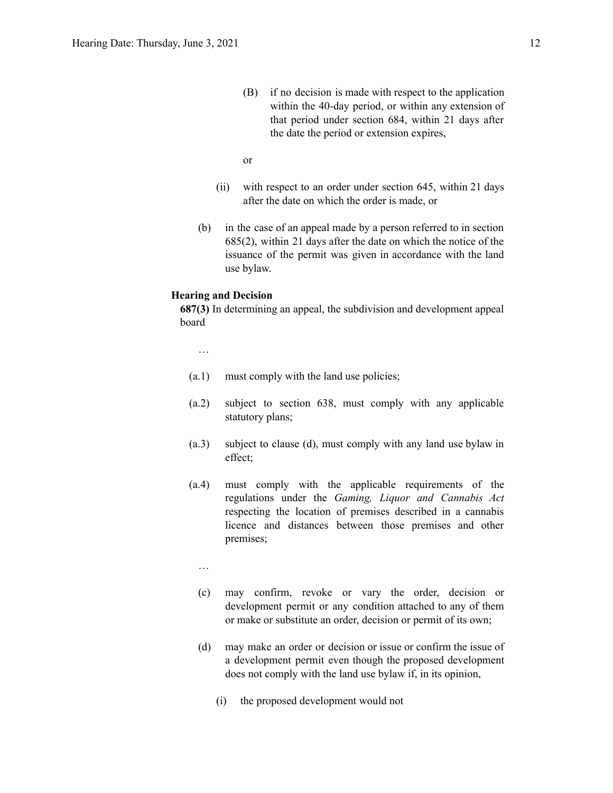- (B) if no decision is made with respect to the application within the 40-day period, or within any extension of that period under section 684, within 21 days after the date the period or extension expires,
- or
- (ii) with respect to an order under section 645, within 21 days after the date on which the order is made, or
- (b) in the case of an appeal made by a person referred to in section 685(2), within 21 days after the date on which the notice of the issuance of the permit was given in accordance with the land use bylaw.

#### **Hearing and Decision**

**687(3)** In determining an appeal, the subdivision and development appeal board

…

- (a.1) must comply with the land use policies;
- (a.2) subject to section 638, must comply with any applicable statutory plans;
- (a.3) subject to clause (d), must comply with any land use bylaw in effect;
- (a.4) must comply with the applicable requirements of the regulations under the *Gaming, Liquor and Cannabis Act* respecting the location of premises described in a cannabis licence and distances between those premises and other premises;
	- …
	- (c) may confirm, revoke or vary the order, decision or development permit or any condition attached to any of them or make or substitute an order, decision or permit of its own;
	- (d) may make an order or decision or issue or confirm the issue of a development permit even though the proposed development does not comply with the land use bylaw if, in its opinion,
		- (i) the proposed development would not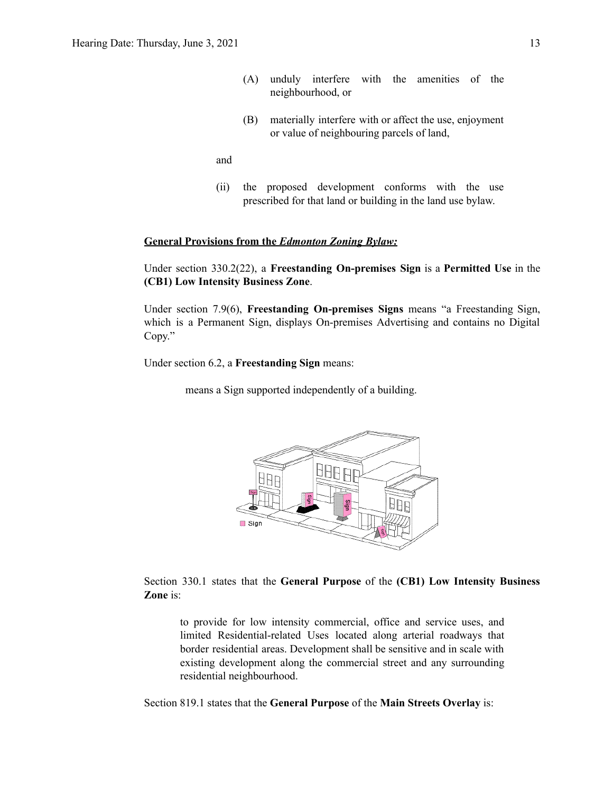- (A) unduly interfere with the amenities of the neighbourhood, or
- (B) materially interfere with or affect the use, enjoyment or value of neighbouring parcels of land,

and

(ii) the proposed development conforms with the use prescribed for that land or building in the land use bylaw.

## **General Provisions from the** *Edmonton Zoning Bylaw:*

Under section 330.2(22), a **Freestanding On-premises Sign** is a **Permitted Use** in the **(CB1) Low Intensity Business Zone**.

Under section 7.9(6), **Freestanding On-premises Signs** means "a Freestanding Sign, which is a Permanent Sign, displays On-premises Advertising and contains no Digital Copy."

Under section 6.2, a **Freestanding Sign** means:

means a Sign supported independently of a building.



Section 330.1 states that the **General Purpose** of the **(CB1) Low Intensity Business Zone** is:

to provide for low intensity commercial, office and service uses, and limited Residential-related Uses located along arterial roadways that border residential areas. Development shall be sensitive and in scale with existing development along the commercial street and any surrounding residential neighbourhood.

Section 819.1 states that the **General Purpose** of the **Main Streets Overlay** is: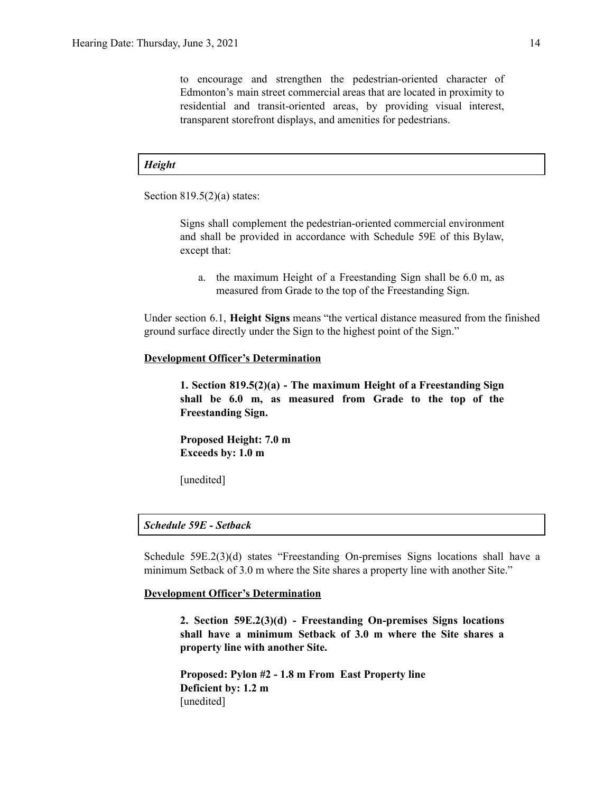to encourage and strengthen the pedestrian-oriented character of Edmonton's main street commercial areas that are located in proximity to residential and transit-oriented areas, by providing visual interest, transparent storefront displays, and amenities for pedestrians.

# *Height*

Section  $819.5(2)(a)$  states:

Signs shall complement the pedestrian-oriented commercial environment and shall be provided in accordance with Schedule 59E of this Bylaw, except that:

a. the maximum Height of a Freestanding Sign shall be 6.0 m, as measured from Grade to the top of the Freestanding Sign.

Under section 6.1, **Height Signs** means "the vertical distance measured from the finished ground surface directly under the Sign to the highest point of the Sign."

#### **Development Officer's Determination**

**1. Section 819.5(2)(a) - The maximum Height of a Freestanding Sign shall be 6.0 m, as measured from Grade to the top of the Freestanding Sign.**

**Proposed Height: 7.0 m Exceeds by: 1.0 m**

[unedited]

# *Schedule 59E - Setback*

Schedule 59E.2(3)(d) states "Freestanding On-premises Signs locations shall have a minimum Setback of 3.0 m where the Site shares a property line with another Site."

# **Development Officer's Determination**

**2. Section 59E.2(3)(d) - Freestanding On-premises Signs locations shall have a minimum Setback of 3.0 m where the Site shares a property line with another Site.**

**Proposed: Pylon #2 - 1.8 m From East Property line Deficient by: 1.2 m** [unedited]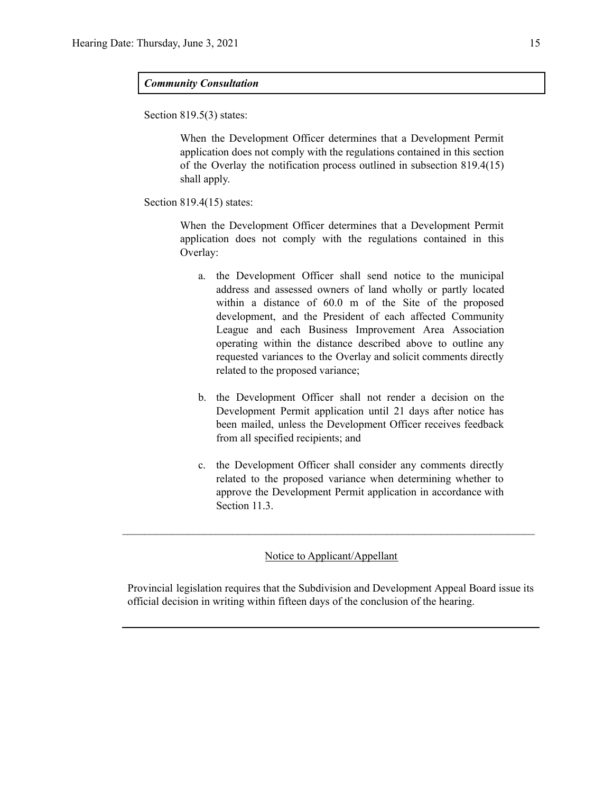# *Community Consultation*

Section 819.5(3) states:

When the Development Officer determines that a Development Permit application does not comply with the regulations contained in this section of the Overlay the notification process outlined in subsection 819.4(15) shall apply.

Section 819.4(15) states:

When the Development Officer determines that a Development Permit application does not comply with the regulations contained in this Overlay:

- a. the Development Officer shall send notice to the municipal address and assessed owners of land wholly or partly located within a distance of 60.0 m of the Site of the proposed development, and the President of each affected Community League and each Business Improvement Area Association operating within the distance described above to outline any requested variances to the Overlay and solicit comments directly related to the proposed variance;
- b. the Development Officer shall not render a decision on the Development Permit application until 21 days after notice has been mailed, unless the Development Officer receives feedback from all specified recipients; and
- c. the Development Officer shall consider any comments directly related to the proposed variance when determining whether to approve the Development Permit application in accordance with Section 11.3.

# Notice to Applicant/Appellant

 $\mathcal{L}_\text{max} = \frac{1}{2} \sum_{i=1}^n \mathcal{L}_\text{max} = \frac{1}{2} \sum_{i=1}^n \mathcal{L}_\text{max} = \frac{1}{2} \sum_{i=1}^n \mathcal{L}_\text{max} = \frac{1}{2} \sum_{i=1}^n \mathcal{L}_\text{max} = \frac{1}{2} \sum_{i=1}^n \mathcal{L}_\text{max} = \frac{1}{2} \sum_{i=1}^n \mathcal{L}_\text{max} = \frac{1}{2} \sum_{i=1}^n \mathcal{L}_\text{max} = \frac{1}{2} \sum_{i=$ 

Provincial legislation requires that the Subdivision and Development Appeal Board issue its official decision in writing within fifteen days of the conclusion of the hearing.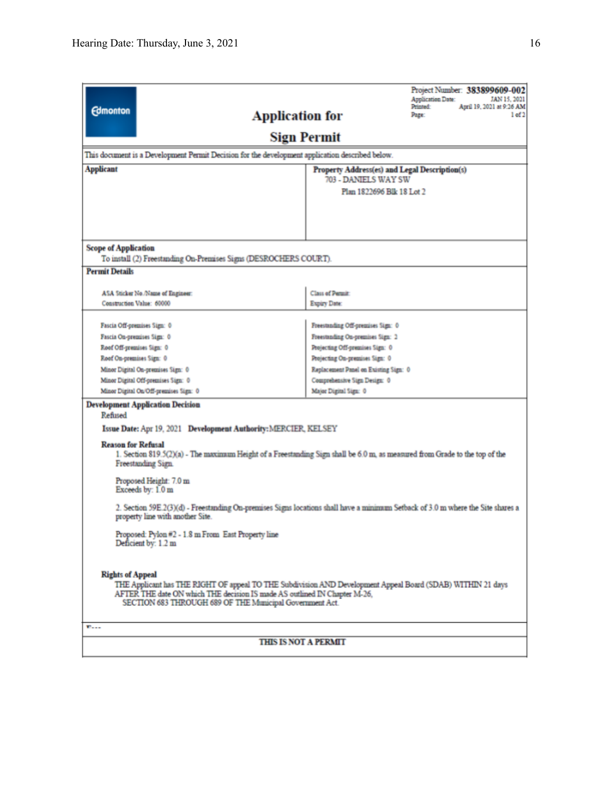|                                                                                                                                                                     |                                                                              | Project Number: 383899609-002                                              |  |  |  |  |
|---------------------------------------------------------------------------------------------------------------------------------------------------------------------|------------------------------------------------------------------------------|----------------------------------------------------------------------------|--|--|--|--|
|                                                                                                                                                                     |                                                                              | Application Date:<br>JAN 15, 2021<br>April 19, 2021 at 9:26 AM<br>Printed: |  |  |  |  |
| <b>Edmonton</b><br><b>Application for</b>                                                                                                                           |                                                                              | 1 of 2<br>Page:                                                            |  |  |  |  |
|                                                                                                                                                                     | <b>Sign Permit</b>                                                           |                                                                            |  |  |  |  |
| This document is a Development Permit Decision for the development application described below.                                                                     |                                                                              |                                                                            |  |  |  |  |
|                                                                                                                                                                     |                                                                              |                                                                            |  |  |  |  |
| <b>Applicant</b>                                                                                                                                                    | Property Address(es) and Legal Description(s)<br><b>703 - DANIELS WAY SW</b> |                                                                            |  |  |  |  |
|                                                                                                                                                                     | Plan 1822696 Blk 18 Lot 2                                                    |                                                                            |  |  |  |  |
|                                                                                                                                                                     |                                                                              |                                                                            |  |  |  |  |
|                                                                                                                                                                     |                                                                              |                                                                            |  |  |  |  |
|                                                                                                                                                                     |                                                                              |                                                                            |  |  |  |  |
|                                                                                                                                                                     |                                                                              |                                                                            |  |  |  |  |
| <b>Scope of Application</b>                                                                                                                                         |                                                                              |                                                                            |  |  |  |  |
| To install (2) Freestanding On-Premises Signs (DESROCHERS COURT).                                                                                                   |                                                                              |                                                                            |  |  |  |  |
| <b>Permit Details</b>                                                                                                                                               |                                                                              |                                                                            |  |  |  |  |
|                                                                                                                                                                     |                                                                              |                                                                            |  |  |  |  |
| ASA Sticker No./Name of Engineer:<br>Construction Value: 60000                                                                                                      | Class of Permit:<br>Expiry Date:                                             |                                                                            |  |  |  |  |
|                                                                                                                                                                     |                                                                              |                                                                            |  |  |  |  |
| Fascia Off-premises Sign: 0                                                                                                                                         | Freestanding Off-premises Sign: 0                                            |                                                                            |  |  |  |  |
| Fascia On-premises Sign: 0                                                                                                                                          | Freestanding On-premises Sign: 2                                             |                                                                            |  |  |  |  |
| Roof Off-premises Sign: 0                                                                                                                                           | Projecting Off-premises Sign: 0                                              |                                                                            |  |  |  |  |
| Roof On-premises Sign: 0                                                                                                                                            | Projecting On-premises Sign: 0                                               |                                                                            |  |  |  |  |
| Minor Digital On-premises Sign: 0                                                                                                                                   | Replacement Panel on Existing Sign: 0                                        |                                                                            |  |  |  |  |
| Minor Digital Off-premises Sign: 0                                                                                                                                  | Comprehensive Sign Design: 0                                                 |                                                                            |  |  |  |  |
| Minor Digital On/Off-premises Sign: 0                                                                                                                               | Major Digital Sign: 0                                                        |                                                                            |  |  |  |  |
| <b>Development Application Decision</b>                                                                                                                             |                                                                              |                                                                            |  |  |  |  |
| Refused                                                                                                                                                             |                                                                              |                                                                            |  |  |  |  |
| Issue Date: Apr 19, 2021 Development Authority: MERCIER, KELSEY                                                                                                     |                                                                              |                                                                            |  |  |  |  |
| <b>Reason for Refusal</b>                                                                                                                                           |                                                                              |                                                                            |  |  |  |  |
| 1. Section 819.5(2)(a) - The maximum Height of a Freestanding Sign shall be 6.0 m, as measured from Grade to the top of the                                         |                                                                              |                                                                            |  |  |  |  |
| Freestanding Sign.                                                                                                                                                  |                                                                              |                                                                            |  |  |  |  |
| Proposed Height: 7.0 m                                                                                                                                              |                                                                              |                                                                            |  |  |  |  |
| Exceeds by: 1.0 m                                                                                                                                                   |                                                                              |                                                                            |  |  |  |  |
|                                                                                                                                                                     |                                                                              |                                                                            |  |  |  |  |
| 2. Section 59E.2(3)(d) - Freestanding On-premises Signs locations shall have a minimum Setback of 3.0 m where the Site shares a<br>property line with another Site. |                                                                              |                                                                            |  |  |  |  |
|                                                                                                                                                                     |                                                                              |                                                                            |  |  |  |  |
| Proposed: Pylon #2 - 1.8 m From East Property line<br>Deficient by: 1.2 m                                                                                           |                                                                              |                                                                            |  |  |  |  |
|                                                                                                                                                                     |                                                                              |                                                                            |  |  |  |  |
|                                                                                                                                                                     |                                                                              |                                                                            |  |  |  |  |
| <b>Rights of Appeal</b>                                                                                                                                             |                                                                              |                                                                            |  |  |  |  |
| THE Applicant has THE RIGHT OF appeal TO THE Subdivision AND Development Appeal Board (SDAB) WITHIN 21 days                                                         |                                                                              |                                                                            |  |  |  |  |
| AFTER THE date ON which THE decision IS made AS outlined IN Chapter M-26,<br>SECTION 683 THROUGH 689 OF THE Municipal Government Act.                               |                                                                              |                                                                            |  |  |  |  |
|                                                                                                                                                                     |                                                                              |                                                                            |  |  |  |  |
| $E_{\text{max}}$                                                                                                                                                    |                                                                              |                                                                            |  |  |  |  |
| <b>THIS IS NOT A PERMIT</b>                                                                                                                                         |                                                                              |                                                                            |  |  |  |  |
|                                                                                                                                                                     |                                                                              |                                                                            |  |  |  |  |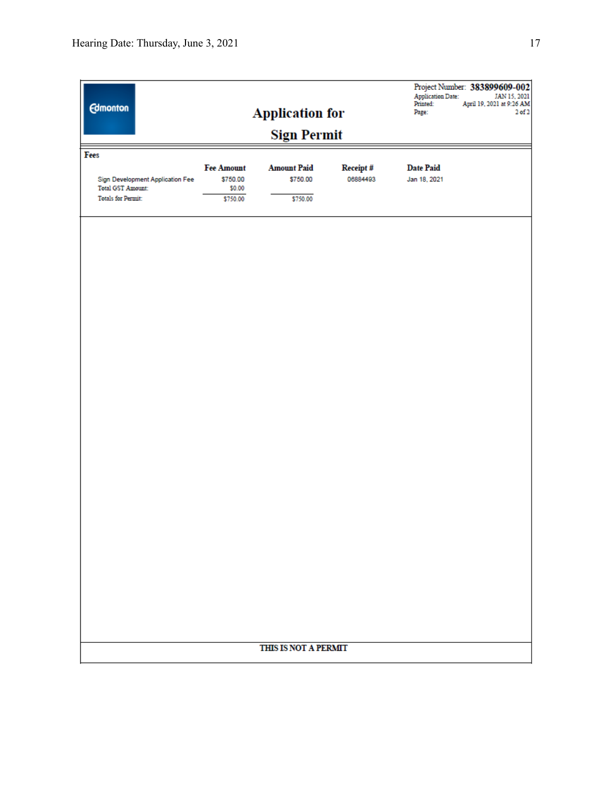|                                                       |                               |                                |                      | <b>Application Date:</b><br>Printed: | Project Number: 383899609-002<br>JAN 15, 2021<br>April 19, 2021 at 9:26 AM |  |  |
|-------------------------------------------------------|-------------------------------|--------------------------------|----------------------|--------------------------------------|----------------------------------------------------------------------------|--|--|
| <b>Edmonton</b>                                       |                               | <b>Application for</b>         |                      | Page:                                | $2$ of $2$                                                                 |  |  |
| <b>Sign Permit</b>                                    |                               |                                |                      |                                      |                                                                            |  |  |
| Fees                                                  |                               |                                |                      |                                      |                                                                            |  |  |
| Sign Development Application Fee                      | <b>Fee Amount</b><br>\$750.00 | <b>Amount Paid</b><br>\$750.00 | Receipt#<br>06884493 | <b>Date Paid</b><br>Jan 18, 2021     |                                                                            |  |  |
| <b>Total GST Amount:</b><br><b>Totals for Permit:</b> | \$0.00<br>\$750.00            | \$750.00                       |                      |                                      |                                                                            |  |  |
|                                                       |                               |                                |                      |                                      |                                                                            |  |  |
|                                                       |                               |                                |                      |                                      |                                                                            |  |  |
|                                                       |                               |                                |                      |                                      |                                                                            |  |  |
|                                                       |                               |                                |                      |                                      |                                                                            |  |  |
|                                                       |                               |                                |                      |                                      |                                                                            |  |  |
|                                                       |                               |                                |                      |                                      |                                                                            |  |  |
|                                                       |                               |                                |                      |                                      |                                                                            |  |  |
|                                                       |                               |                                |                      |                                      |                                                                            |  |  |
|                                                       |                               |                                |                      |                                      |                                                                            |  |  |
|                                                       |                               |                                |                      |                                      |                                                                            |  |  |
|                                                       |                               |                                |                      |                                      |                                                                            |  |  |
|                                                       |                               |                                |                      |                                      |                                                                            |  |  |
|                                                       |                               |                                |                      |                                      |                                                                            |  |  |
|                                                       |                               |                                |                      |                                      |                                                                            |  |  |
|                                                       |                               |                                |                      |                                      |                                                                            |  |  |
|                                                       |                               |                                |                      |                                      |                                                                            |  |  |
|                                                       |                               |                                |                      |                                      |                                                                            |  |  |
|                                                       |                               |                                |                      |                                      |                                                                            |  |  |
|                                                       |                               |                                |                      |                                      |                                                                            |  |  |
|                                                       |                               |                                |                      |                                      |                                                                            |  |  |
|                                                       |                               |                                |                      |                                      |                                                                            |  |  |
|                                                       |                               |                                |                      |                                      |                                                                            |  |  |
|                                                       |                               |                                |                      |                                      |                                                                            |  |  |
|                                                       |                               |                                |                      |                                      |                                                                            |  |  |
| THIS IS NOT A PERMIT                                  |                               |                                |                      |                                      |                                                                            |  |  |
|                                                       |                               |                                |                      |                                      |                                                                            |  |  |